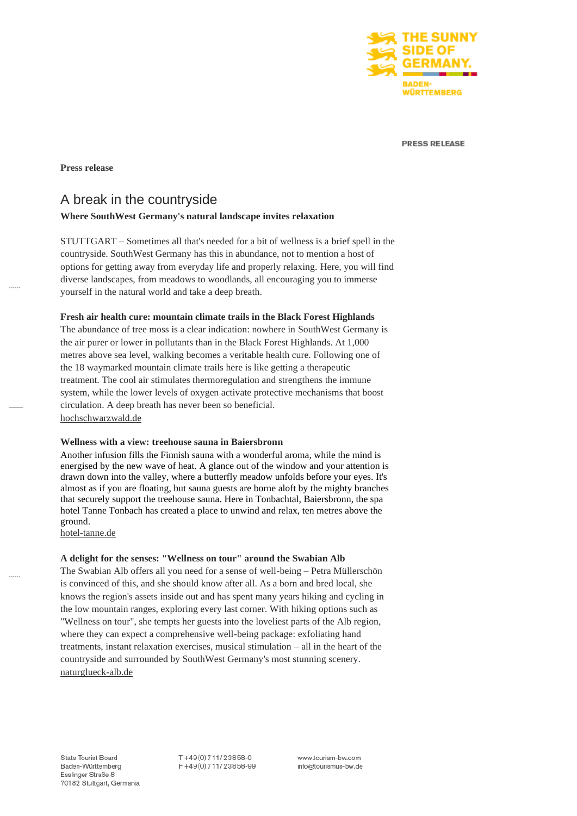

**PRESS RELEASE** 

#### **Press release**

# A break in the countryside

# **Where SouthWest Germany's natural landscape invites relaxation**

STUTTGART – Sometimes all that's needed for a bit of wellness is a brief spell in the countryside. SouthWest Germany has this in abundance, not to mention a host of options for getting away from everyday life and properly relaxing. Here, you will find diverse landscapes, from meadows to woodlands, all encouraging you to immerse yourself in the natural world and take a deep breath.

#### **Fresh air health cure: mountain climate trails in the Black Forest Highlands**

The abundance of tree moss is a clear indication: nowhere in SouthWest Germany is the air purer or lower in pollutants than in the Black Forest Highlands. At 1,000 metres above sea level, walking becomes a veritable health cure. Following one of the 18 waymarked mountain climate trails here is like getting a therapeutic treatment. The cool air stimulates thermoregulation and strengthens the immune system, while the lower levels of oxygen activate protective mechanisms that boost circulation. A deep breath has never been so beneficial. [hochschwarzwald.de](https://www.hochschwarzwald.de/Wandern/Wandertouren-und-Wanderwege/Hoehenklimawege)

### **Wellness with a view: treehouse sauna in Baiersbronn**

Another infusion fills the Finnish sauna with a wonderful aroma, while the mind is energised by the new wave of heat. A glance out of the window and your attention is drawn down into the valley, where a butterfly meadow unfolds before your eyes. It's almost as if you are floating, but sauna guests are borne aloft by the mighty branches that securely support the treehouse sauna. Here in Tonbachtal, Baiersbronn, the spa hotel Tanne Tonbach has created a place to unwind and relax, ten metres above the ground.

[hotel-tanne.de](https://hotel-tanne.de/baumhaus-sauna/)

### **A delight for the senses: "Wellness on tour" around the Swabian Alb**

The Swabian Alb offers all you need for a sense of well-being – Petra Müllerschön is convinced of this, and she should know after all. As a born and bred local, she knows the region's assets inside out and has spent many years hiking and cycling in the low mountain ranges, exploring every last corner. With hiking options such as "Wellness on tour", she tempts her guests into the loveliest parts of the Alb region, where they can expect a comprehensive well-being package: exfoliating hand treatments, instant relaxation exercises, musical stimulation – all in the heart of the countryside and surrounded by SouthWest Germany's most stunning scenery. [naturglueck-alb.de](https://www.naturglueck-alb.de/wellness-tour.html)

 $T + 49(0)711/23858-0$ F+49(0)711/23858-99

www.tourism-bw.com info@tourismus-bw.de